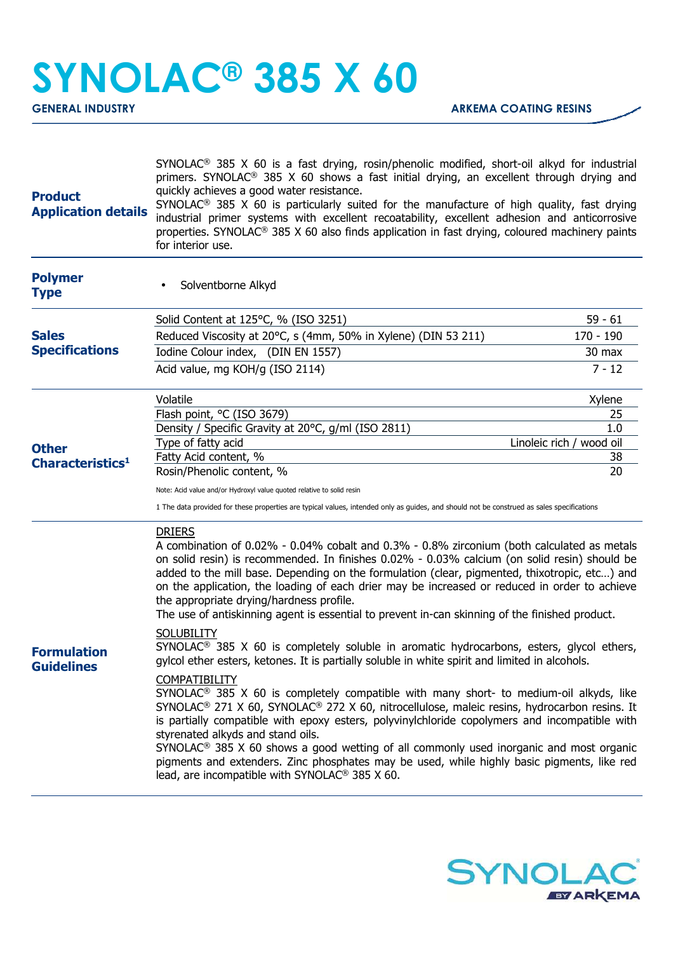## **SYNOLAC® 385 X 60**

**GENERAL INDUSTRY ARKEMA COATING RESINS** 

| <b>Product</b><br><b>Application details</b> | $SYNOLAC®$ 385 X 60 is a fast drying, rosin/phenolic modified, short-oil alkyd for industrial<br>primers. SYNOLAC <sup>®</sup> 385 X 60 shows a fast initial drying, an excellent through drying and<br>quickly achieves a good water resistance.<br>SYNOLAC <sup>®</sup> 385 X 60 is particularly suited for the manufacture of high quality, fast drying<br>industrial primer systems with excellent recoatability, excellent adhesion and anticorrosive<br>properties. SYNOLAC <sup>®</sup> 385 X 60 also finds application in fast drying, coloured machinery paints<br>for interior use.                                                                                                                                                                                                                                                                                                                                                                                                                                                                                                                                                                                                                                                                                                                                                                                                                         |                                                             |  |
|----------------------------------------------|-----------------------------------------------------------------------------------------------------------------------------------------------------------------------------------------------------------------------------------------------------------------------------------------------------------------------------------------------------------------------------------------------------------------------------------------------------------------------------------------------------------------------------------------------------------------------------------------------------------------------------------------------------------------------------------------------------------------------------------------------------------------------------------------------------------------------------------------------------------------------------------------------------------------------------------------------------------------------------------------------------------------------------------------------------------------------------------------------------------------------------------------------------------------------------------------------------------------------------------------------------------------------------------------------------------------------------------------------------------------------------------------------------------------------|-------------------------------------------------------------|--|
| <b>Polymer</b><br><b>Type</b>                | Solventborne Alkyd                                                                                                                                                                                                                                                                                                                                                                                                                                                                                                                                                                                                                                                                                                                                                                                                                                                                                                                                                                                                                                                                                                                                                                                                                                                                                                                                                                                                    |                                                             |  |
| <b>Sales</b><br><b>Specifications</b>        | Solid Content at 125°C, % (ISO 3251)<br>Reduced Viscosity at 20°C, s (4mm, 50% in Xylene) (DIN 53 211)<br>Iodine Colour index, (DIN EN 1557)<br>Acid value, mg KOH/g (ISO 2114)                                                                                                                                                                                                                                                                                                                                                                                                                                                                                                                                                                                                                                                                                                                                                                                                                                                                                                                                                                                                                                                                                                                                                                                                                                       | $59 - 61$<br>$170 - 190$<br>30 max<br>$7 - 12$              |  |
| <b>Other</b><br>Characteristics <sup>1</sup> | Volatile<br>Flash point, °C (ISO 3679)<br>Density / Specific Gravity at 20°C, g/ml (ISO 2811)<br>Type of fatty acid<br>Fatty Acid content, %<br>Rosin/Phenolic content, %<br>Note: Acid value and/or Hydroxyl value quoted relative to solid resin<br>1 The data provided for these properties are typical values, intended only as guides, and should not be construed as sales specifications                                                                                                                                                                                                                                                                                                                                                                                                                                                                                                                                                                                                                                                                                                                                                                                                                                                                                                                                                                                                                       | Xylene<br>25<br>1.0<br>Linoleic rich / wood oil<br>38<br>20 |  |
| <b>Formulation</b><br><b>Guidelines</b>      | <b>DRIERS</b><br>A combination of 0.02% - 0.04% cobalt and 0.3% - 0.8% zirconium (both calculated as metals<br>on solid resin) is recommended. In finishes 0.02% - 0.03% calcium (on solid resin) should be<br>added to the mill base. Depending on the formulation (clear, pigmented, thixotropic, etc) and<br>on the application, the loading of each drier may be increased or reduced in order to achieve<br>the appropriate drying/hardness profile.<br>The use of antiskinning agent is essential to prevent in-can skinning of the finished product.<br><b>SOLUBILITY</b><br>SYNOLAC <sup>®</sup> 385 X 60 is completely soluble in aromatic hydrocarbons, esters, glycol ethers,<br>gylcol ether esters, ketones. It is partially soluble in white spirit and limited in alcohols.<br><b>COMPATIBILITY</b><br>SYNOLAC <sup>®</sup> 385 X 60 is completely compatible with many short- to medium-oil alkyds, like<br>SYNOLAC® 271 X 60, SYNOLAC® 272 X 60, nitrocellulose, maleic resins, hydrocarbon resins. It<br>is partially compatible with epoxy esters, polyvinylchloride copolymers and incompatible with<br>styrenated alkyds and stand oils.<br>$SYNOLAC®$ 385 X 60 shows a good wetting of all commonly used inorganic and most organic<br>pigments and extenders. Zinc phosphates may be used, while highly basic pigments, like red<br>lead, are incompatible with SYNOLAC <sup>®</sup> 385 X 60. |                                                             |  |